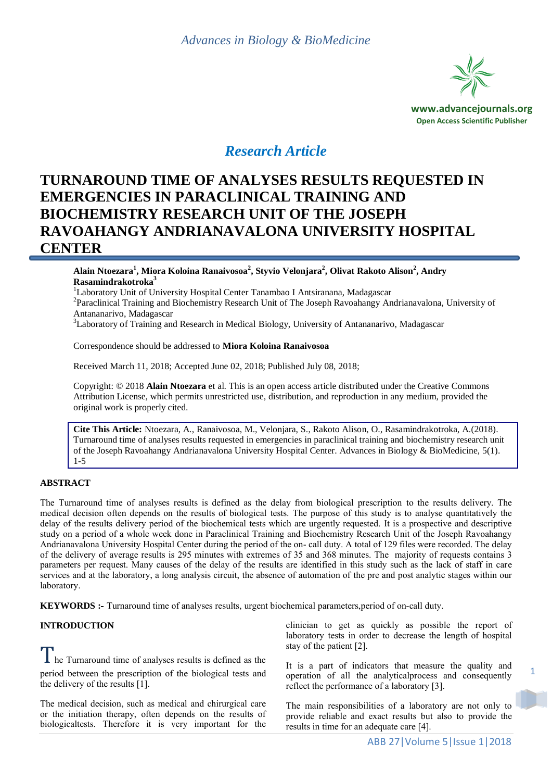

# *Research Article*

# **TURNAROUND TIME OF ANALYSES RESULTS REQUESTED IN EMERGENCIES IN PARACLINICAL TRAINING AND BIOCHEMISTRY RESEARCH UNIT OF THE JOSEPH RAVOAHANGY ANDRIANAVALONA UNIVERSITY HOSPITAL CENTER**

**Alain Ntoezara<sup>1</sup> , Miora Koloina Ranaivosoa<sup>2</sup> , Styvio Velonjara<sup>2</sup> , Olivat Rakoto Alison<sup>2</sup> , Andry Rasamindrakotroka<sup>3</sup>**

<sup>1</sup>Laboratory Unit of University Hospital Center Tanambao I Antsiranana, Madagascar

<sup>2</sup> Paraclinical Training and Biochemistry Research Unit of The Joseph Ravoahangy Andrianavalona, University of Antananarivo, Madagascar

<sup>3</sup>Laboratory of Training and Research in Medical Biology, University of Antananarivo, Madagascar

Correspondence should be addressed to **Miora Koloina Ranaivosoa**

Received March 11, 2018; Accepted June 02, 2018; Published July 08, 2018;

Copyright: © 2018 **Alain Ntoezara** et al. This is an open access article distributed under the Creative Commons Attribution License, which permits unrestricted use, distribution, and reproduction in any medium, provided the original work is properly cited.

**Cite This Article:** Ntoezara, A., Ranaivosoa, M., Velonjara, S., Rakoto Alison, O., Rasamindrakotroka, A.(2018). Turnaround time of analyses results requested in emergencies in paraclinical training and biochemistry research unit of the Joseph Ravoahangy Andrianavalona University Hospital Center. Advances in Biology & BioMedicine, 5(1). 1-5

### **ABSTRACT**

The Turnaround time of analyses results is defined as the delay from biological prescription to the results delivery. The medical decision often depends on the results of biological tests. The purpose of this study is to analyse quantitatively the delay of the results delivery period of the biochemical tests which are urgently requested. It is a prospective and descriptive study on a period of a whole week done in Paraclinical Training and Biochemistry Research Unit of the Joseph Ravoahangy Andrianavalona University Hospital Center during the period of the on- call duty. A total of 129 files were recorded. The delay of the delivery of average results is 295 minutes with extremes of 35 and 368 minutes. The majority of requests contains 3 parameters per request. Many causes of the delay of the results are identified in this study such as the lack of staff in care services and at the laboratory, a long analysis circuit, the absence of automation of the pre and post analytic stages within our laboratory.

**KEYWORDS :-** Turnaround time of analyses results, urgent biochemical parameters,period of on-call duty.

### **INTRODUCTION**

I he Turnaround time of analyses results is defined as the period between the prescription of the biological tests and the delivery of the results [1].

The medical decision, such as medical and chirurgical care or the initiation therapy, often depends on the results of biologicaltests. Therefore it is very important for the

clinician to get as quickly as possible the report of laboratory tests in order to decrease the length of hospital stay of the patient [2].

It is a part of indicators that measure the quality and operation of all the analyticalprocess and consequently reflect the performance of a laboratory [3].

The main responsibilities of a laboratory are not only to provide reliable and exact results but also to provide the results in time for an adequate care [4].

1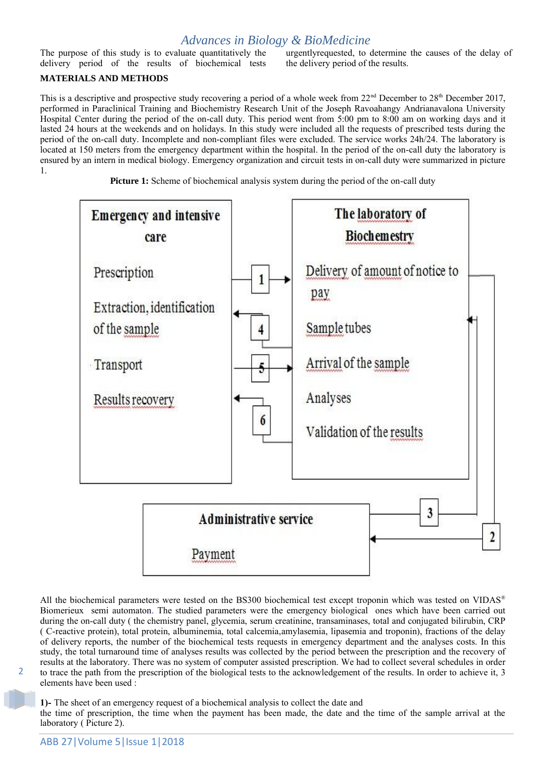### *Advances in Biology & BioMedicine*

The purpose of this study is to evaluate quantitatively the delivery period of the results of biochemical tests urgentlyrequested, to determine the causes of the delay of the delivery period of the results.

### **MATERIALS AND METHODS**

This is a descriptive and prospective study recovering a period of a whole week from  $22<sup>nd</sup>$  December to  $28<sup>th</sup>$  December 2017, performed in Paraclinical Training and Biochemistry Research Unit of the Joseph Ravoahangy Andrianavalona University Hospital Center during the period of the on-call duty. This period went from 5:00 pm to 8:00 am on working days and it lasted 24 hours at the weekends and on holidays. In this study were included all the requests of prescribed tests during the period of the on-call duty. Incomplete and non-compliant files were excluded. The service works 24h/24. The laboratory is located at 150 meters from the emergency department within the hospital. In the period of the on-call duty the laboratory is ensured by an intern in medical biology. Emergency organization and circuit tests in on-call duty were summarized in picture 1.





All the biochemical parameters were tested on the BS300 biochemical test except troponin which was tested on VIDAS<sup>®</sup> Biomerieux semi automaton. The studied parameters were the emergency biological ones which have been carried out during the on-call duty ( the chemistry panel, glycemia, serum creatinine, transaminases, total and conjugated bilirubin, CRP ( C-reactive protein), total protein, albuminemia, total calcemia,amylasemia, lipasemia and troponin), fractions of the delay of delivery reports, the number of the biochemical tests requests in emergency department and the analyses costs. In this study, the total turnaround time of analyses results was collected by the period between the prescription and the recovery of results at the laboratory. There was no system of computer assisted prescription. We had to collect several schedules in order to trace the path from the prescription of the biological tests to the acknowledgement of the results. In order to achieve it, 3 elements have been used :

**1)-** The sheet of an emergency request of a biochemical analysis to collect the date and the time of prescription, the time when the payment has been made, the date and the time of the sample arrival at the laboratory ( Picture 2).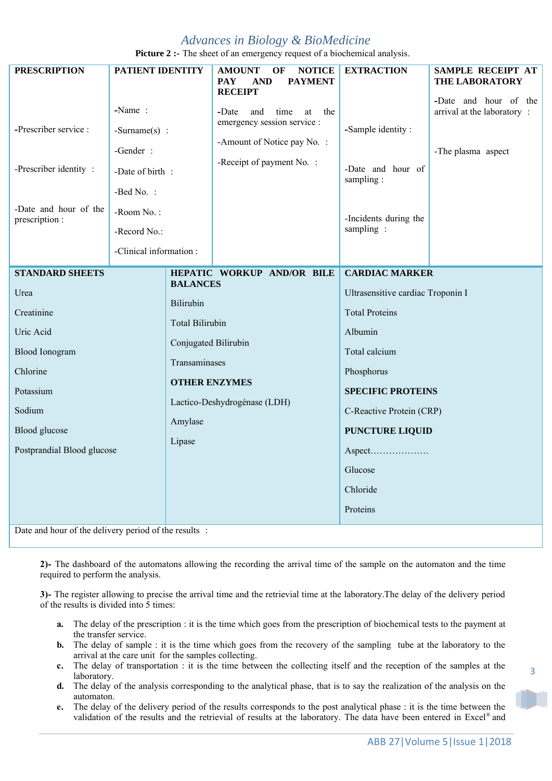## *Advances in Biology & BioMedicine*

**Picture 2 :-** The sheet of an emergency request of a biochemical analysis.

| <b>PRESCRIPTION</b>                                                                                                                                                                                                                                                                                                  | <b>PATIENT IDENTITY</b>                                                                                                          |                                                            | <b>AMOUNT</b><br>OF<br><b>NOTICE</b><br>PAY<br><b>PAYMENT</b><br>AND                                                                                                                                                                                         | <b>EXTRACTION</b>                                                                         | SAMPLE RECEIPT AT<br><b>THE LABORATORY</b>                                |
|----------------------------------------------------------------------------------------------------------------------------------------------------------------------------------------------------------------------------------------------------------------------------------------------------------------------|----------------------------------------------------------------------------------------------------------------------------------|------------------------------------------------------------|--------------------------------------------------------------------------------------------------------------------------------------------------------------------------------------------------------------------------------------------------------------|-------------------------------------------------------------------------------------------|---------------------------------------------------------------------------|
| -Prescriber service :<br>-Prescriber identity:<br>-Date and hour of the<br>prescription :                                                                                                                                                                                                                            | -Name:<br>$-Surname(s)$ :<br>-Gender :<br>-Date of birth :<br>-Bed No. :<br>-Room No.:<br>-Record No.:<br>-Clinical information: |                                                            | <b>RECEIPT</b><br>time<br>-Date<br>and<br>the<br>at<br>emergency session service :<br>-Amount of Notice pay No. :<br>-Receipt of payment No. :                                                                                                               | -Sample identity:<br>-Date and hour of<br>sampling:<br>-Incidents during the<br>sampling: | -Date and hour of the<br>arrival at the laboratory:<br>-The plasma aspect |
|                                                                                                                                                                                                                                                                                                                      |                                                                                                                                  |                                                            |                                                                                                                                                                                                                                                              |                                                                                           |                                                                           |
| <b>STANDARD SHEETS</b><br><b>BALANCES</b><br>Urea<br>Bilirubin<br>Creatinine<br><b>Total Bilirubin</b><br>Uric Acid<br>Conjugated Bilirubin<br><b>Blood Ionogram</b><br>Transaminases<br>Chlorine<br><b>OTHER ENZYMES</b><br>Potassium<br>Sodium<br>Amylase<br>Blood glucose<br>Lipase<br>Postprandial Blood glucose |                                                                                                                                  | HEPATIC WORKUP AND/OR BILE<br>Lactico-Deshydrogénase (LDH) | <b>CARDIAC MARKER</b><br>Ultrasensitive cardiac Troponin I<br><b>Total Proteins</b><br>Albumin<br>Total calcium<br>Phosphorus<br><b>SPECIFIC PROTEINS</b><br>C-Reactive Protein (CRP)<br><b>PUNCTURE LIQUID</b><br>Aspect<br>Glucose<br>Chloride<br>Proteins |                                                                                           |                                                                           |

Date and hour of the delivery period of the results :

**2)-** The dashboard of the automatons allowing the recording the arrival time of the sample on the automaton and the time required to perform the analysis.

**3)-** The register allowing to precise the arrival time and the retrievial time at the laboratory.The delay of the delivery period of the results is divided into 5 times:

- **a.** The delay of the prescription : it is the time which goes from the prescription of biochemical tests to the payment at the transfer service.
- **b.** The delay of sample : it is the time which goes from the recovery of the sampling tube at the laboratory to the arrival at the care unit for the samples collecting.
- **c.** The delay of transportation : it is the time between the collecting itself and the reception of the samples at the laboratory.
- **d.** The delay of the analysis corresponding to the analytical phase, that is to say the realization of the analysis on the automaton.
- **e.** The delay of the delivery period of the results corresponds to the post analytical phase : it is the time between the validation of the results and the retrievial of results at the laboratory. The data have been entered in Excel® and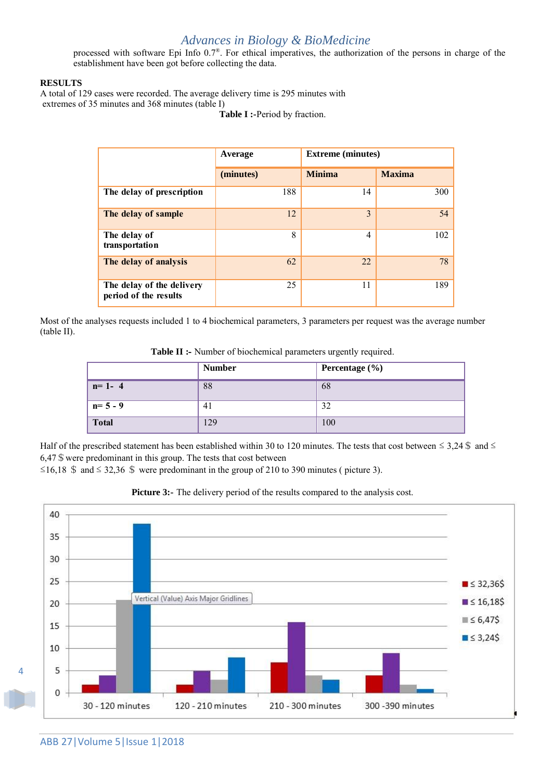## *Advances in Biology & BioMedicine*

processed with software Epi Info  $0.7^\circ$ . For ethical imperatives, the authorization of the persons in charge of the establishment have been got before collecting the data.

#### **RESULTS**

A total of 129 cases were recorded. The average delivery time is 295 minutes with extremes of 35 minutes and 368 minutes (table I)

**Table I :-**Period by fraction.

|                                                    | <b>Extreme</b> (minutes)<br>Average |               |               |
|----------------------------------------------------|-------------------------------------|---------------|---------------|
|                                                    | (minutes)                           | <b>Minima</b> | <b>Maxima</b> |
| The delay of prescription                          | 188                                 | 14            | 300           |
| The delay of sample                                | 12                                  | 3             | 54            |
| The delay of<br>transportation                     | 8                                   | 4             | 102           |
| The delay of analysis                              | 62                                  | 22            | 78            |
| The delay of the delivery<br>period of the results | 25                                  | 11            | 189           |

Most of the analyses requests included 1 to 4 biochemical parameters, 3 parameters per request was the average number (table II).

| Table II :- Number of biochemical parameters urgently required. |  |  |
|-----------------------------------------------------------------|--|--|
|-----------------------------------------------------------------|--|--|

|              | <b>Number</b> | Percentage $(\% )$ |
|--------------|---------------|--------------------|
| $n=1-4$      | 88            | 68                 |
| $n=5-9$      | 41            | 32                 |
| <b>Total</b> | 129           | 100                |

Half of the prescribed statement has been established within 30 to 120 minutes. The tests that cost between  $\leq 3,24$  \$ and  $\leq$  $6,47$  \$ were predominant in this group. The tests that cost between

≤16,18 \$ and ≤ 32,36 \$ were predominant in the group of 210 to 390 minutes ( picture 3).



**Picture 3:-** The delivery period of the results compared to the analysis cost.

4